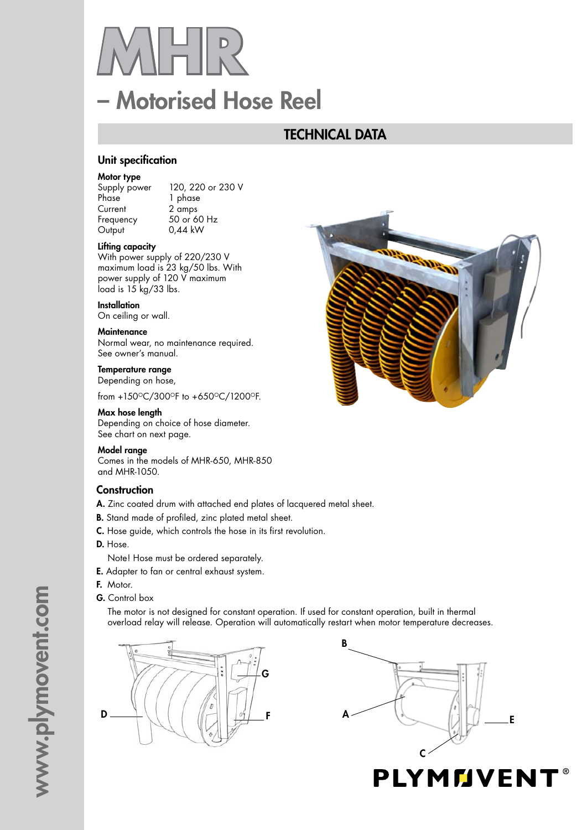# – Motorised Hose Reel  $\|\Pi\|_{\Lambda}^{\mathtt{D}}$

# TECHNICAL DATA

#### Unit specification

#### Motor type

Phase 1 phase Current 2 amps<br>Frequency 50 or 6 Output 0,44 kW

Supply power 120, 220 or 230 V  $50$  or 60 Hz

#### Lifting capacity

With power supply of 220/230 V maximum load is 23 kg/50 lbs. With power supply of 120 V maximum  $load$  is  $15$  kg/33 lbs.

#### **Installation**

On ceiling or wall.

#### **Maintenance**

Normal wear, no maintenance required. See owner's manual.

#### Temperature range

Depending on hose,

from +150°C/300°F to +650°C/1200°F.

#### Max hose length

Depending on choice of hose diameter. See chart on next page.

#### Model range

Comes in the models of MHR-650, MHR-850 and MHR-1050.

#### **Construction**

- A. Zinc coated drum with attached end plates of lacquered metal sheet.
- B. Stand made of profiled, zinc plated metal sheet.
- C. Hose guide, which controls the hose in its first revolution.
- D. Hose.

Note! Hose must be ordered separately.

- E. Adapter to fan or central exhaust system.
- F. Motor.
- G. Control box

The motor is not designed for constant operation. If used for constant operation, built in thermal overload relay will release. Operation will automatically restart when motor temperature decreases.







www.plymovent.com www.plymovent.com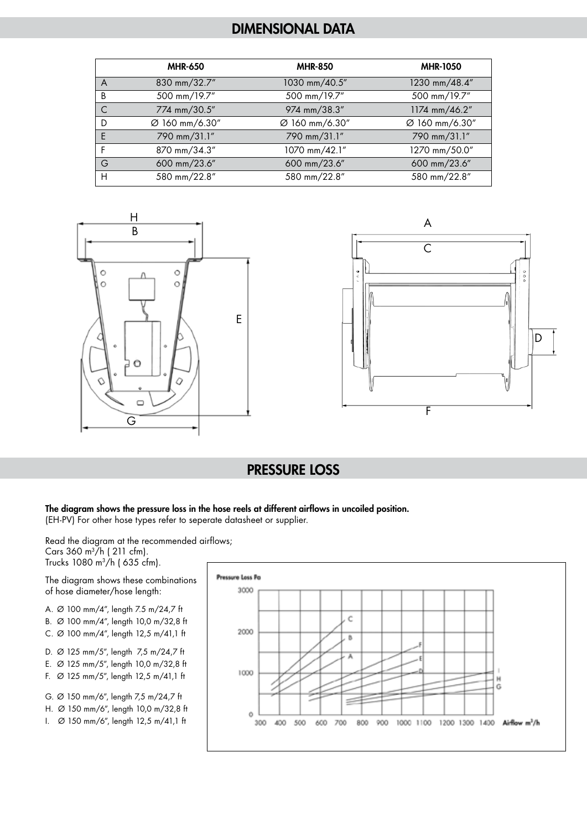# DIMENSIONAL DATA

|              | <b>MHR-650</b> | <b>MHR-850</b> | <b>MHR-1050</b> |
|--------------|----------------|----------------|-----------------|
| A            | 830 mm/32.7"   | 1030 mm/40.5"  | 1230 mm/48.4"   |
| B            | 500 mm/19.7"   | 500 mm/19.7"   | 500 mm/19.7"    |
| $\mathsf{C}$ | 774 mm/30.5"   | 974 mm/38.3"   | 1174 mm/46.2"   |
| D            | Ø 160 mm/6.30" | Ø 160 mm/6.30" | Ø 160 mm/6.30"  |
| E            | 790 mm/31.1"   | 790 mm/31.1"   | 790 mm/31.1"    |
| F            | 870 mm/34.3"   | 1070 mm/42.1"  | 1270 mm/50.0"   |
| G            | 600 mm/23.6"   | 600 mm/23.6"   | 600 mm/23.6"    |
| H            | 580 mm/22.8"   | 580 mm/22.8"   | 580 mm/22.8"    |





## PRESSURE LOSS

#### The diagram shows the pressure loss in the hose reels at different airflows in uncoiled position. (EH-PV) For other hose types refer to seperate datasheet or supplier.

Read the diagram at the recommended airflows; Cars 360 m3/h ( 211 cfm). Trucks 1080 m3/h ( 635 cfm).

The diagram shows these combinations of hose diameter/hose length:

- A. Ø 100 mm/4", length 7.5 m/24,7 ft
- B. Ø 100 mm/4", length 10,0 m/32,8 ft
- C. Ø 100 mm/4", length 12,5 m/41,1 ft
- D. Ø 125 mm/5", length 7,5 m/24,7 ft
- E. Ø 125 mm/5", length 10,0 m/32,8 ft
- F. Ø 125 mm/5", length 12,5 m/41,1 ft
- G. Ø 150 mm/6", length 7,5 m/24,7 ft
- H. Ø 150 mm/6", length 10,0 m/32,8 ft
- I. Ø 150 mm/6", length 12,5 m/41,1 ft